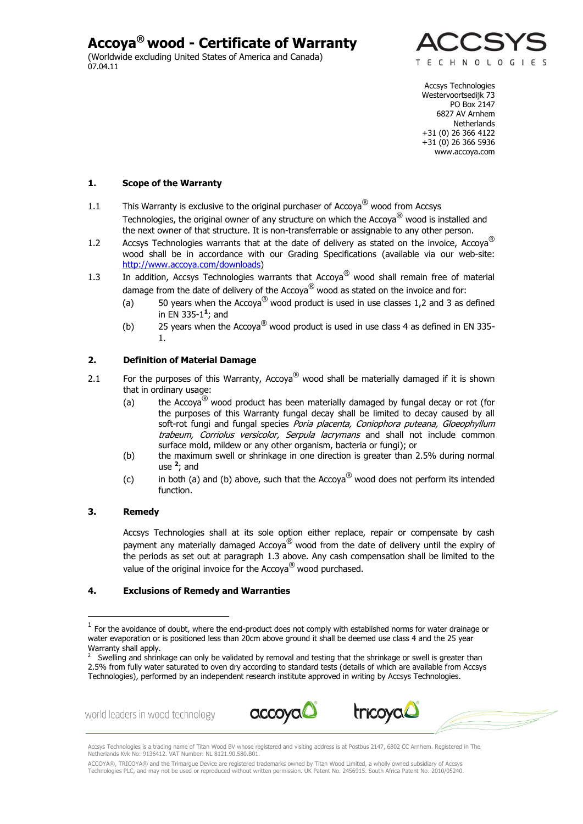**Accoya® wood - Certificate of Warranty**

(Worldwide excluding United States of America and Canada) 07.04.11



Accsys Technologies Westervoortsedijk 73 PO Box 2147 6827 AV Arnhem Netherlands +31 (0) 26 366 4122 +31 (0) 26 366 5936 www.accoya.com

# **1. Scope of the Warranty**

- 1.1 This Warranty is exclusive to the original purchaser of Accoya<sup>®</sup> wood from Accsys Technologies, the original owner of any structure on which the Accoya<sup>®</sup> wood is installed and the next owner of that structure. It is non-transferrable or assignable to any other person.
- 1.2 Accsys Technologies warrants that at the date of delivery as stated on the invoice, Accoya<sup>®</sup> wood shall be in accordance with our Grading Specifications (available via our web-site: http://www.accoya.com/downloads)
- 1.3 In addition, Accsys Technologies warrants that Accoya<sup>®</sup> wood shall remain free of material damage from the date of delivery of the Accoya $^{\circledR}$  wood as stated on the invoice and for:
	- (a) 50 years when the Accoya<sup>®</sup> wood product is used in use classes 1,2 and 3 as defined in EN 335-1 **1** ; and
	- (b) 25 years when the Accoya<sup>®</sup> wood product is used in use class 4 as defined in EN 335-1.

# **2. Definition of Material Damage**

- 2.1 For the purposes of this Warranty, Accoya<sup>®</sup> wood shall be materially damaged if it is shown that in ordinary usage:
	- (a) the Accoya<sup>®</sup> wood product has been materially damaged by fungal decay or rot (for the purposes of this Warranty fungal decay shall be limited to decay caused by all soft-rot fungi and fungal species *Poria placenta, Coniophora puteana, Gloeophyllum* trabeum, Corriolus versicolor, Serpula lacrymans and shall not include common surface mold, mildew or any other organism, bacteria or fungi); or
	- (b) the maximum swell or shrinkage in one direction is greater than 2.5% during normal use **<sup>2</sup>** ; and
	- (c) in both (a) and (b) above, such that the Accoya<sup>®</sup> wood does not perform its intended function.

# **3. Remedy**

l

Accsys Technologies shall at its sole option either replace, repair or compensate by cash payment any materially damaged Accoya<sup>®</sup> wood from the date of delivery until the expiry of the periods as set out at paragraph 1.3 above. Any cash compensation shall be limited to the value of the original invoice for the Accova<sup>®</sup> wood purchased.

#### **4. Exclusions of Remedy and Warranties**

world leaders in wood technology





Accsys Technologies is a trading name of Titan Wood BV whose registered and visiting address is at Postbus 2147, 6802 CC Arnhem. Registered in The Netherlands Kvk No: 9136412. VAT Number: NL 8121.90.580.B01.

 $<sup>1</sup>$  For the avoidance of doubt, where the end-product does not comply with established norms for water drainage or</sup> water evaporation or is positioned less than 20cm above ground it shall be deemed use class 4 and the 25 year Warranty shall apply.

 $2$  Swelling and shrinkage can only be validated by removal and testing that the shrinkage or swell is greater than 2.5% from fully water saturated to oven dry according to standard tests (details of which are available from Accsys Technologies), performed by an independent research institute approved in writing by Accsys Technologies.

ACCOYA®, TRICOYA® and the Trimargue Device are registered trademarks owned by Titan Wood Limited, a wholly owned subsidiary of Accsys Technologies PLC, and may not be used or reproduced without written permission. UK Patent No. 2456915. South Africa Patent No. 2010/05240.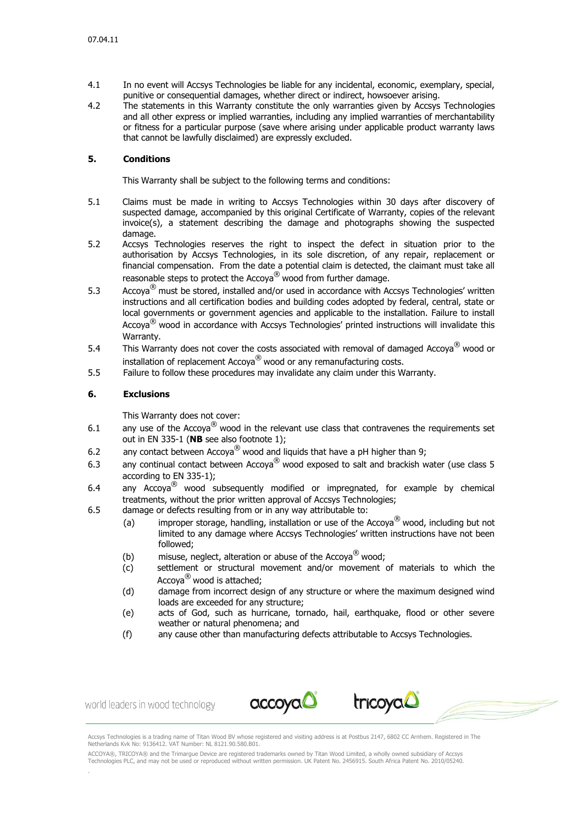- 4.1 In no event will Accsys Technologies be liable for any incidental, economic, exemplary, special, punitive or consequential damages, whether direct or indirect, howsoever arising.
- 4.2 The statements in this Warranty constitute the only warranties given by Accsys Technologies and all other express or implied warranties, including any implied warranties of merchantability or fitness for a particular purpose (save where arising under applicable product warranty laws that cannot be lawfully disclaimed) are expressly excluded.

# **5. Conditions**

This Warranty shall be subject to the following terms and conditions:

- 5.1 Claims must be made in writing to Accsys Technologies within 30 days after discovery of suspected damage, accompanied by this original Certificate of Warranty, copies of the relevant invoice(s), a statement describing the damage and photographs showing the suspected damage.
- 5.2 Accsys Technologies reserves the right to inspect the defect in situation prior to the authorisation by Accsys Technologies, in its sole discretion, of any repair, replacement or financial compensation. From the date a potential claim is detected, the claimant must take all reasonable steps to protect the  $Accova^{\circledR}$  wood from further damage.
- 5.3 Accoya<sup>®</sup> must be stored, installed and/or used in accordance with Accsys Technologies' written instructions and all certification bodies and building codes adopted by federal, central, state or local governments or government agencies and applicable to the installation. Failure to install Accoya<sup>®</sup> wood in accordance with Accsys Technologies' printed instructions will invalidate this Warranty.
- 5.4 This Warranty does not cover the costs associated with removal of damaged Accova<sup>®</sup> wood or installation of replacement Accoya<sup>®</sup> wood or any remanufacturing costs.
- 5.5 Failure to follow these procedures may invalidate any claim under this Warranty.

# **6. Exclusions**

This Warranty does not cover:

- 6.1 any use of the Accoya<sup>®</sup> wood in the relevant use class that contravenes the requirements set out in EN 335-1 (**NB** see also footnote 1);
- 6.2 any contact between Accoya<sup>®</sup> wood and liquids that have a pH higher than 9;
- 6.3 any continual contact between Accoya<sup>®</sup> wood exposed to salt and brackish water (use class 5 according to EN 335-1);
- 6.4 any Accoya<sup>®</sup> wood subsequently modified or impregnated, for example by chemical treatments, without the prior written approval of Accsys Technologies;
- 6.5 damage or defects resulting from or in any way attributable to:
	- (a) improper storage, handling, installation or use of the Accoya<sup>®</sup> wood, including but not limited to any damage where Accsys Technologies' written instructions have not been followed;
	- (b) misuse, neglect, alteration or abuse of the Accoya<sup>®</sup> wood;
	- (c) settlement or structural movement and/or movement of materials to which the Accova $^{\circledR}$  wood is attached:
	- (d) damage from incorrect design of any structure or where the maximum designed wind loads are exceeded for any structure;
	- (e) acts of God, such as hurricane, tornado, hail, earthquake, flood or other severe weather or natural phenomena; and
	- (f) any cause other than manufacturing defects attributable to Accsys Technologies.

world leaders in wood technology

.





Accsys Technologies is a trading name of Titan Wood BV whose registered and visiting address is at Postbus 2147, 6802 CC Arnhem. Registered in The Netherlands Kvk No: 9136412. VAT Number: NL 8121.90.580.B01.

ACCOYA®, TRICOYA® and the Trimargue Device are registered trademarks owned by Titan Wood Limited, a wholly owned subsidiary of Accsys<br>Technologies PLC, and may not be used or reproduced without written permission. UK Paten